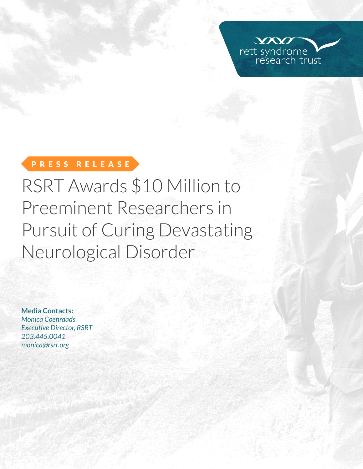

# PRESS RELEASE

RSRT Awards \$10 Million to Preeminent Researchers in Pursuit of Curing Devastating Neurological Disorder

**Media Contacts:**  *Monica Coenraads Executive Director, RSRT 203.445.0041 [monica@rsrt.org](mailto:monica%40rsrt.org?subject=Press%20Release%20%7C%20CSO%20Announce)*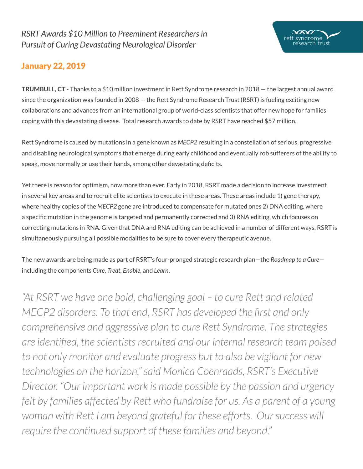## January 22, 2019

**TRUMBULL, CT** - Thanks to a \$10 million investment in Rett Syndrome research in 2018 — the largest annual award since the organization was founded in 2008 — the Rett Syndrome Research Trust (RSRT) is fueling exciting new collaborations and advances from an international group of world-class scientists that offer new hope for families coping with this devastating disease. Total research awards to date by RSRT have reached \$57 million.

 $\infty$ rett syndrome

arch trust

Rett Syndrome is caused by mutations in a gene known as *MECP2* resulting in a constellation of serious, progressive and disabling neurological symptoms that emerge during early childhood and eventually rob sufferers of the ability to speak, move normally or use their hands, among other devastating deficits.

Yet there is reason for optimism, now more than ever. Early in 2018, RSRT made a decision to increase investment in several key areas and to recruit elite scientists to execute in these areas. These areas include 1) gene therapy, where healthy copies of the *MECP2* gene are introduced to compensate for mutated ones 2) DNA editing, where a specific mutation in the genome is targeted and permanently corrected and 3) RNA editing, which focuses on correcting mutations in RNA. Given that DNA and RNA editing can be achieved in a number of different ways, RSRT is simultaneously pursuing all possible modalities to be sure to cover every therapeutic avenue.

The new awards are being made as part of RSRT's four-pronged strategic research plan—the *Roadmap to a Cure* including the components *Cure, Treat, Enable,* and *Learn*.

*"At RSRT we have one bold, challenging goal – to cure Rett and related MECP2 disorders. To that end, RSRT has developed the first and only comprehensive and aggressive plan to cure Rett Syndrome. The strategies are identified, the scientists recruited and our internal research team poised to not only monitor and evaluate progress but to also be vigilant for new technologies on the horizon," said Monica Coenraads, RSRT's Executive Director. "Our important work is made possible by the passion and urgency*  felt by families affected by Rett who fundraise for us. As a parent of a young woman with Rett I am beyond grateful for these efforts. Our success will *require the continued support of these families and beyond."*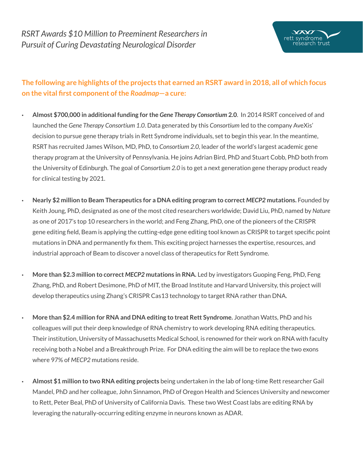## **The following are highlights of the projects that earned an RSRT award in 2018, all of which focus on the vital first component of the** *Roadmap***—a cure:**

- **Almost \$700,000 in additional funding for the** *Gene Therapy Consortium* **2.0**. In 2014 RSRT conceived of and launched the *Gene Therapy Consortium 1.0*. Data generated by this *Consortium* led to the company AveXis' decision to pursue gene therapy trials in Rett Syndrome individuals, set to begin this year. In the meantime, RSRT has recruited James Wilson, MD, PhD, to *Consortium 2.0*, leader of the world's largest academic gene therapy program at the University of Pennsylvania. He joins Adrian Bird, PhD and Stuart Cobb, PhD both from the University of Edinburgh. The goal of *Consortium 2.0* is to get a next generation gene therapy product ready for clinical testing by 2021.
	- **Nearly \$2 million to Beam Therapeutics for a DNA editing program to correct** *MECP2* **mutations.** Founded by Keith Joung, PhD, designated as one of the most cited researchers worldwide; David Liu, PhD, named by *Nature* as one of 2017's top 10 researchers in the world; and Feng Zhang, PhD, one of the pioneers of the CRISPR gene editing field, Beam is applying the cutting-edge gene editing tool known as CRISPR to target specific point mutations in DNA and permanently fix them. This exciting project harnesses the expertise, resources, and industrial approach of Beam to discover a novel class of therapeutics for Rett Syndrome.
- **More than \$2.3 million to correct** *MECP2* **mutations in RNA.** Led by investigators Guoping Feng, PhD, Feng Zhang, PhD, and Robert Desimone, PhD of MIT, the Broad Institute and Harvard University, this project will develop therapeutics using Zhang's CRISPR Cas13 technology to target RNA rather than DNA.
- **More than \$2.4 million for RNA and DNA editing to treat Rett Syndrome.** Jonathan Watts, PhD and his colleagues will put their deep knowledge of RNA chemistry to work developing RNA editing therapeutics. Their institution, University of Massachusetts Medical School, is renowned for their work on RNA with faculty receiving both a Nobel and a Breakthrough Prize. For DNA editing the aim will be to replace the two exons where 97% of *MECP2* mutations reside.
- **Almost \$1 million to two RNA editing projects** being undertaken in the lab of long-time Rett researcher Gail Mandel, PhD and her colleague, John Sinnamon, PhD of Oregon Health and Sciences University and newcomer to Rett, Peter Beal, PhD of University of California Davis. These two West Coast labs are editing RNA by leveraging the naturally-occurring editing enzyme in neurons known as ADAR.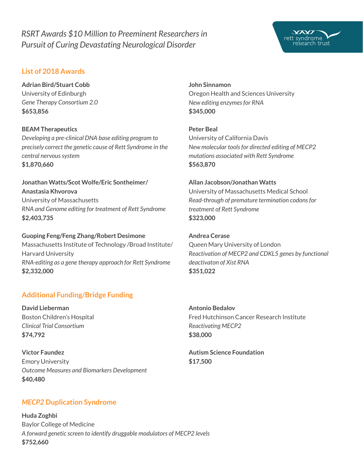## *RSRT Awards \$10 Million to Preeminent Researchers in Pursuit of Curing Devastating Neurological Disorder*

### **List of 2018 Awards**

**Adrian Bird/Stuart Cobb** University of Edinburgh *Gene Therapy Consortium 2.0* **\$653,856**

#### **BEAM Therapeutics**

*Developing a pre-clinical DNA base editing program to precisely correct the genetic cause of Rett Syndrome in the central nervous system* **\$1,870,660** 

#### **Jonathan Watts/Scot Wolfe/Eric Sontheimer/ Anastasia Khvorova**

University of Massachusetts *RNA and Genome editing for treatment of Rett Syndrome* **\$2,403,735**

**Guoping Feng/Feng Zhang/Robert Desimone** Massachusetts Institute of Technology /Broad Institute/ Harvard University *RNA-editing as a gene therapy approach for Rett Syndrome* **\$2,332,000** 

### **Additional Funding/Bridge Funding**

**David Lieberman** Boston Children's Hospital *Clinical Trial Consortium* **\$74,792**

**Victor Faundez** Emory University *Outcome Measures and Biomarkers Development* **\$40,480**

# **John Sinnamon**

Oregon Health and Sciences University *New editing enzymes for RNA* **\$345,000**

**Peter Beal** University of California Davis *New molecular tools for directed editing of MECP2 mutations associated with Rett Syndrome* **\$563,870**

### **Allan Jacobson/Jonathan Watts**

University of Massachusetts Medical School *Read-through of premature termination codons for treatment of Rett Syndrome* **\$323,000** 

### **Andrea Cerase**

Queen Mary University of London *Reactivation of MECP2 and CDKL5 genes by functional deactivaton of Xist RNA* **\$351,022**

### **Antonio Bedalov** Fred Hutchinson Cancer Research Institute *Reactivating MECP2*  **\$38,000**

**Autism Science Foundation \$17,500**

### *MECP2* **Duplication Syndrome**

**Huda Zoghbi** Baylor College of Medicine *A forward genetic screen to identify druggable modulators of MECP2 levels*  **\$752,660**